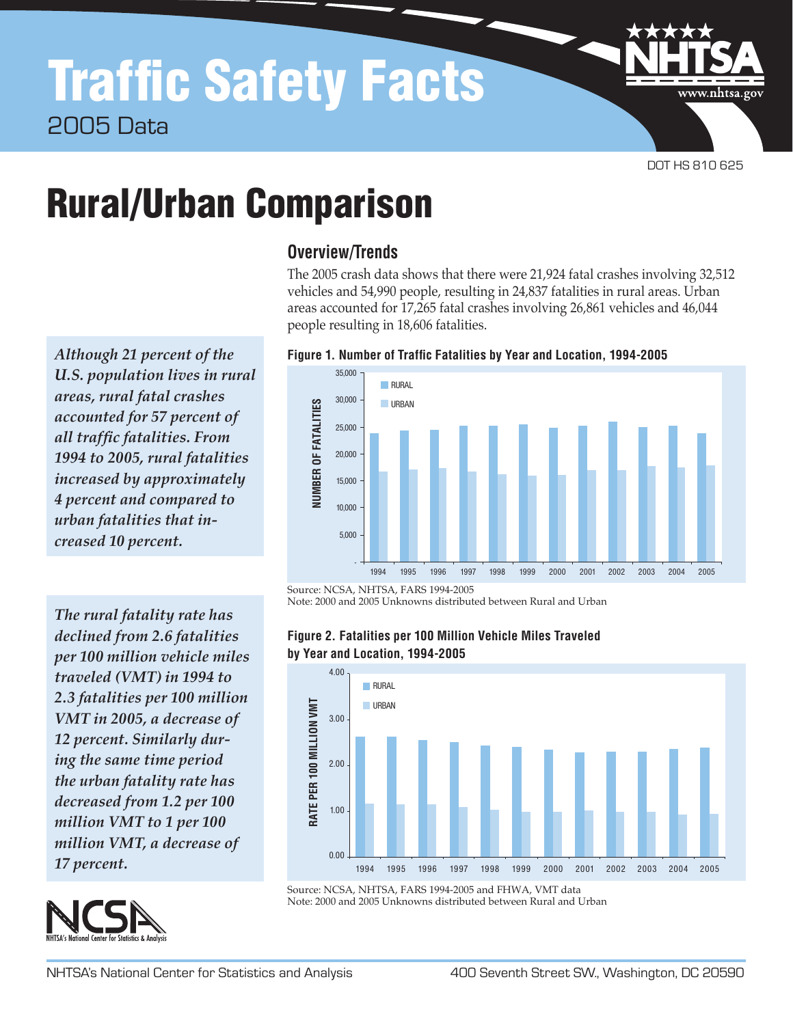www.nhtsa.gov

# Rural/Urban Comparison

*Although 21 percent of the U.S. population lives in rural areas, rural fatal crashes accounted for 57 percent of all traffic fatalities. From 1994 to 2005, rural fatalities increased by approximately 4 percent and compared to urban fatalities that increased 10 percent.*

*The rural fatality rate has declined from 2.6 fatalities per 100 million vehicle miles traveled (VMT) in 1994 to 2.3 fatalities per 100 million VMT in 2005, a decrease of 12 percent. Similarly during the same time period the urban fatality rate has decreased from 1.2 per 100 million VMT to 1 per 100 million VMT, a decrease of 17 percent.*



### **Overview/Trends**

The 2005 crash data shows that there were 21,924 fatal crashes involving 32,512 vehicles and 54,990 people, resulting in 24,837 fatalities in rural areas. Urban areas accounted for 17,265 fatal crashes involving 26,861 vehicles and 46,044 people resulting in 18,606 fatalities.





Source: NCSA, NHTSA, FARS 1994-2005

Note: 2000 and 2005 Unknowns distributed between Rural and Urban





Source: NCSA, NHTSA, FARS 1994-2005 and FHWA, VMT data Note: 2000 and 2005 Unknowns distributed between Rural and Urban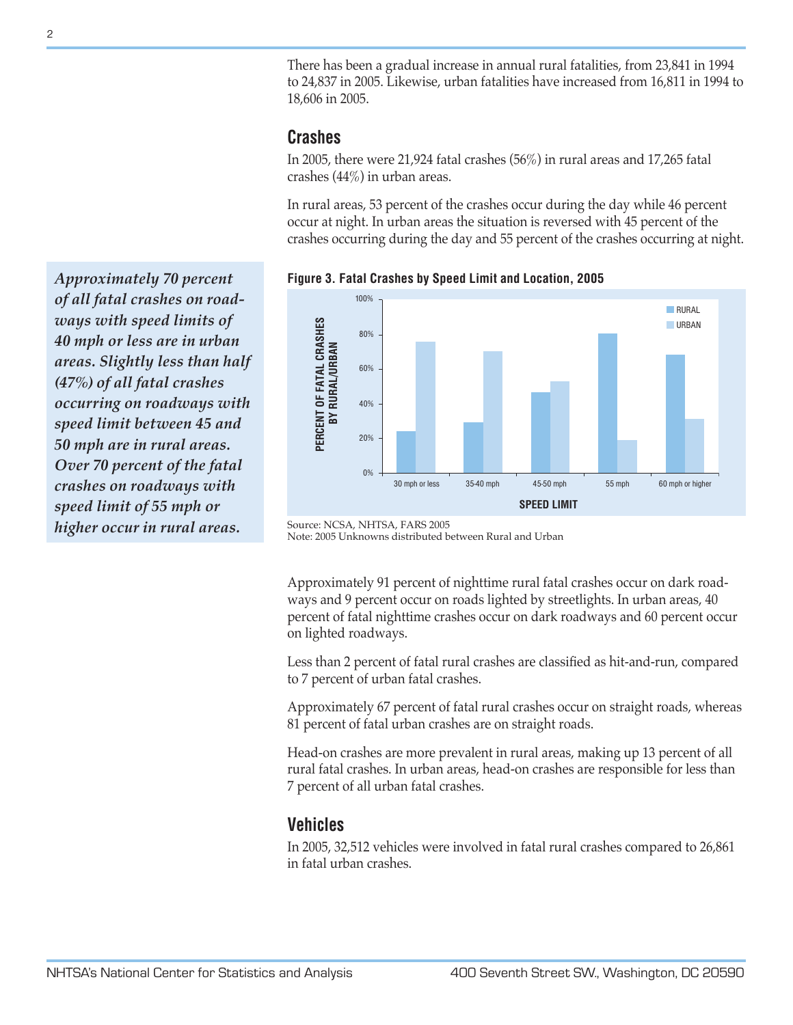There has been a gradual increase in annual rural fatalities, from 23,841 in 1994 to 24,837 in 2005. Likewise, urban fatalities have increased from 16,811 in 1994 to 18,606 in 2005.

#### **Crashes**

In 2005, there were 21,924 fatal crashes (56%) in rural areas and 17,265 fatal crashes (44%) in urban areas.

In rural areas, 53 percent of the crashes occur during the day while 46 percent occur at night. In urban areas the situation is reversed with 45 percent of the crashes occurring during the day and 55 percent of the crashes occurring at night.

100% **RURAL** PERCENT OF FATAL CRASHES **PERCENT OF FATAL CRASHES URBAN** 80% **RURAL/URBAN BY RURAL/URBAN** 60% 40%  $\geq$ 20% 0% 30 mph or less 35-40 mph 45-50 mph 55 mph 60 mph or higher **SPEED LIMIT**

**Figure 3. Fatal Crashes by Speed Limit and Location, 2005**

Note: 2005 Unknowns distributed between Rural and Urban

Approximately 91 percent of nighttime rural fatal crashes occur on dark roadways and 9 percent occur on roads lighted by streetlights. In urban areas, 40 percent of fatal nighttime crashes occur on dark roadways and 60 percent occur on lighted roadways.

Less than 2 percent of fatal rural crashes are classified as hit-and-run, compared to 7 percent of urban fatal crashes.

Approximately 67 percent of fatal rural crashes occur on straight roads, whereas 81 percent of fatal urban crashes are on straight roads.

Head-on crashes are more prevalent in rural areas, making up 13 percent of all rural fatal crashes. In urban areas, head-on crashes are responsible for less than 7 percent of all urban fatal crashes.

## **Vehicles**

In 2005, 32,512 vehicles were involved in fatal rural crashes compared to 26,861 in fatal urban crashes.

*Approximately 70 percent of all fatal crashes on roadways with speed limits of 40 mph or less are in urban areas. Slightly less than half (47%) of all fatal crashes occurring on roadways with speed limit between 45 and 50 mph are in rural areas. Over 70 percent of the fatal crashes on roadways with speed limit of 55 mph or higher occur in rural areas.*

Source: NCSA, NHTSA, FARS 2005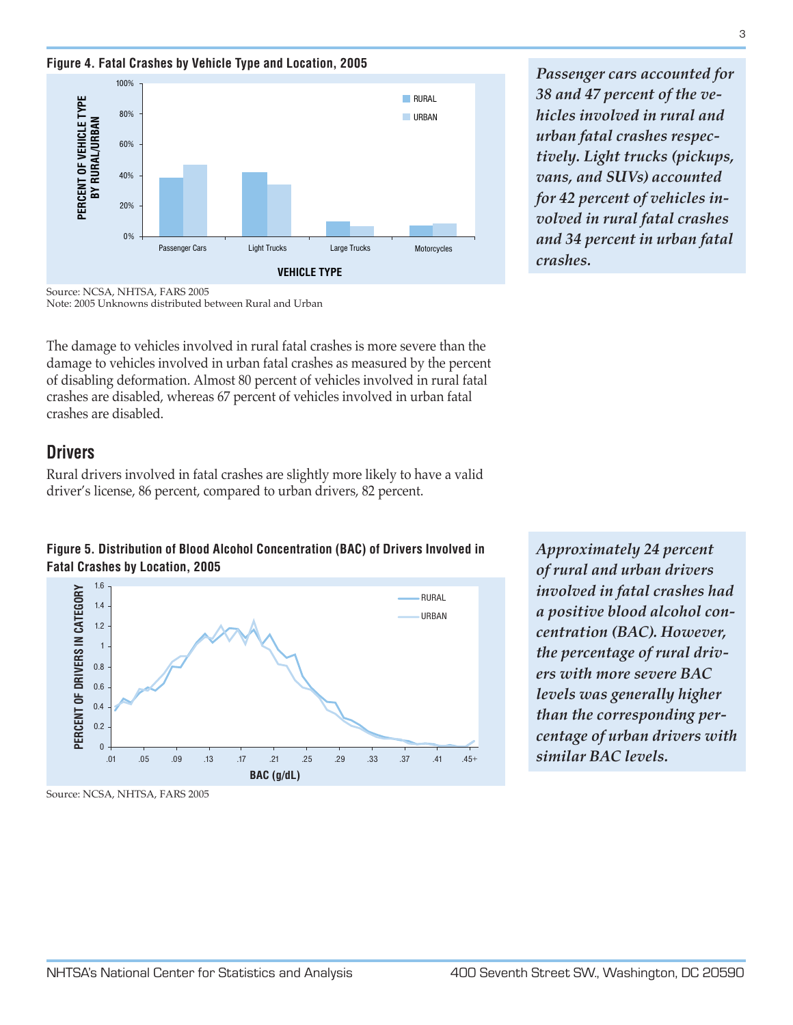**Figure 4. Fatal Crashes by Vehicle Type and Location, 2005**



*Passenger cars accounted for 38 and 47 percent of the vehicles involved in rural and urban fatal crashes respectively. Light trucks (pickups, vans, and SUVs) accounted for 42 percent of vehicles involved in rural fatal crashes and 34 percent in urban fatal crashes.*

Source: NCSA, NHTSA, FARS 2005 Note: 2005 Unknowns distributed between Rural and Urban

The damage to vehicles involved in rural fatal crashes is more severe than the damage to vehicles involved in urban fatal crashes as measured by the percent of disabling deformation. Almost 80 percent of vehicles involved in rural fatal crashes are disabled, whereas 67 percent of vehicles involved in urban fatal crashes are disabled.

#### **Drivers**

Rural drivers involved in fatal crashes are slightly more likely to have a valid driver's license, 86 percent, compared to urban drivers, 82 percent.





*Approximately 24 percent of rural and urban drivers involved in fatal crashes had a positive blood alcohol concentration (BAC). However, the percentage of rural drivers with more severe BAC levels was generally higher than the corresponding percentage of urban drivers with similar BAC levels.*

Source: NCSA, NHTSA, FARS 2005